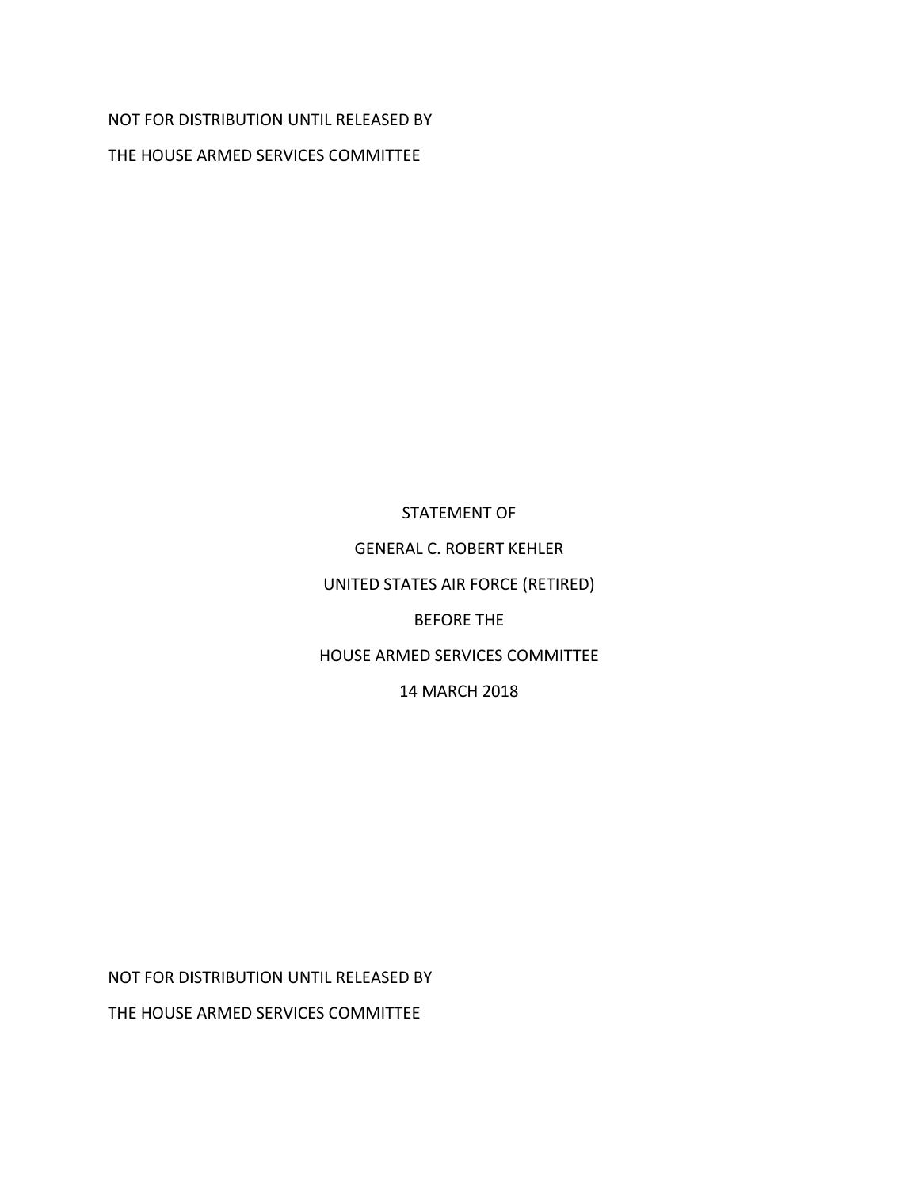## NOT FOR DISTRIBUTION UNTIL RELEASED BY

THE HOUSE ARMED SERVICES COMMITTEE

## STATEMENT OF

GENERAL C. ROBERT KEHLER

UNITED STATES AIR FORCE (RETIRED)

BEFORE THE

HOUSE ARMED SERVICES COMMITTEE

14 MARCH 2018

NOT FOR DISTRIBUTION UNTIL RELEASED BY

THE HOUSE ARMED SERVICES COMMITTEE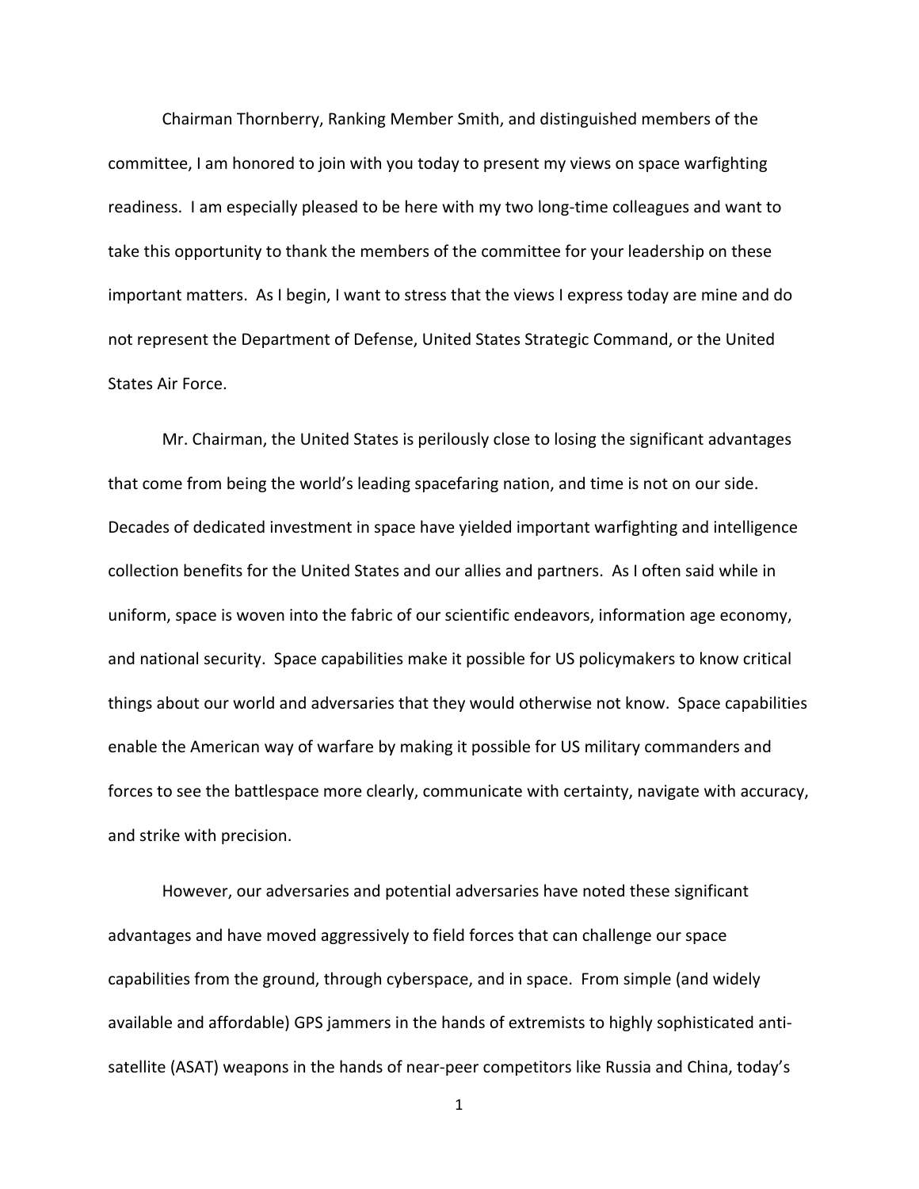Chairman Thornberry, Ranking Member Smith, and distinguished members of the committee, I am honored to join with you today to present my views on space warfighting readiness. I am especially pleased to be here with my two long‐time colleagues and want to take this opportunity to thank the members of the committee for your leadership on these important matters. As I begin, I want to stress that the views I express today are mine and do not represent the Department of Defense, United States Strategic Command, or the United States Air Force.

Mr. Chairman, the United States is perilously close to losing the significant advantages that come from being the world's leading spacefaring nation, and time is not on our side. Decades of dedicated investment in space have yielded important warfighting and intelligence collection benefits for the United States and our allies and partners. As I often said while in uniform, space is woven into the fabric of our scientific endeavors, information age economy, and national security. Space capabilities make it possible for US policymakers to know critical things about our world and adversaries that they would otherwise not know. Space capabilities enable the American way of warfare by making it possible for US military commanders and forces to see the battlespace more clearly, communicate with certainty, navigate with accuracy, and strike with precision.

However, our adversaries and potential adversaries have noted these significant advantages and have moved aggressively to field forces that can challenge our space capabilities from the ground, through cyberspace, and in space. From simple (and widely available and affordable) GPS jammers in the hands of extremists to highly sophisticated anti‐ satellite (ASAT) weapons in the hands of near-peer competitors like Russia and China, today's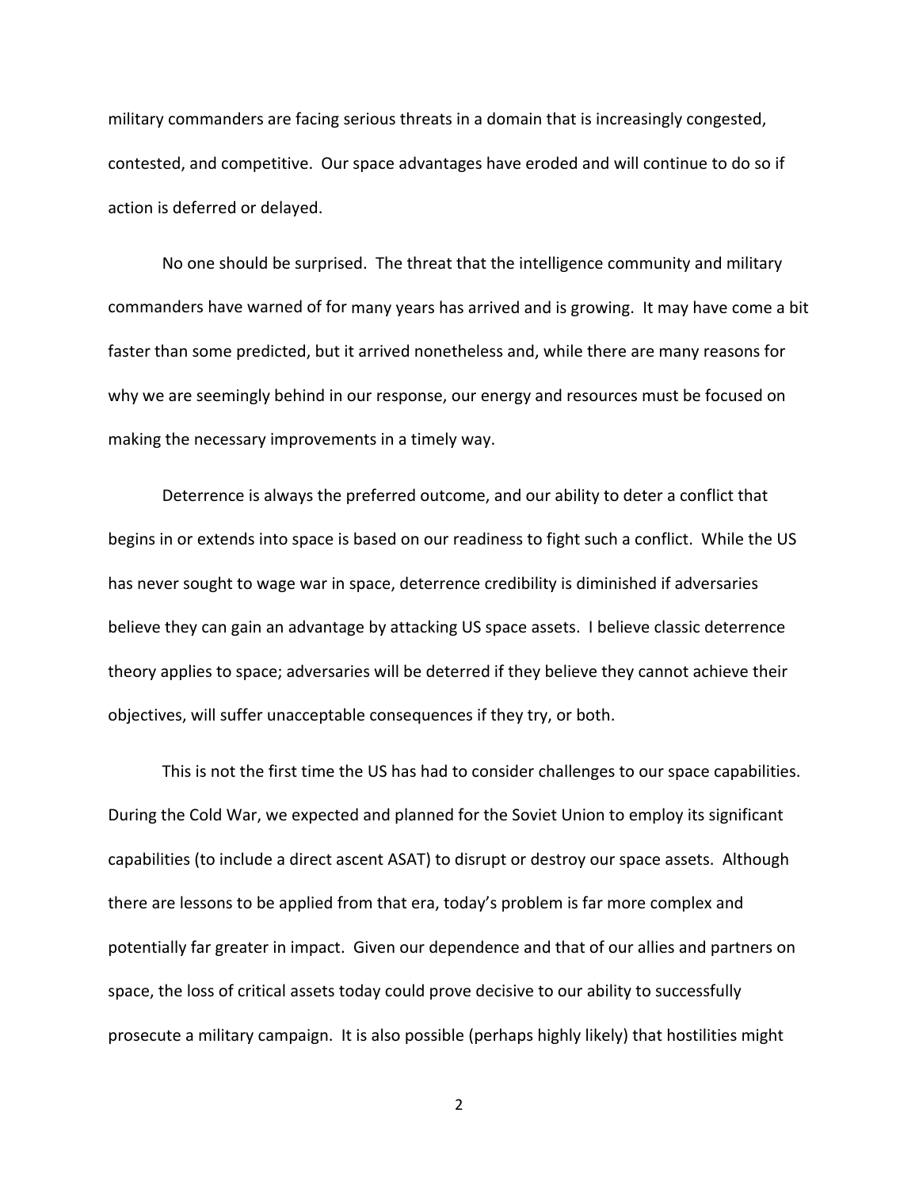military commanders are facing serious threats in a domain that is increasingly congested, contested, and competitive. Our space advantages have eroded and will continue to do so if action is deferred or delayed.

No one should be surprised. The threat that the intelligence community and military commanders have warned of for many years has arrived and is growing. It may have come a bit faster than some predicted, but it arrived nonetheless and, while there are many reasons for why we are seemingly behind in our response, our energy and resources must be focused on making the necessary improvements in a timely way.

Deterrence is always the preferred outcome, and our ability to deter a conflict that begins in or extends into space is based on our readiness to fight such a conflict. While the US has never sought to wage war in space, deterrence credibility is diminished if adversaries believe they can gain an advantage by attacking US space assets. I believe classic deterrence theory applies to space; adversaries will be deterred if they believe they cannot achieve their objectives, will suffer unacceptable consequences if they try, or both.

This is not the first time the US has had to consider challenges to our space capabilities. During the Cold War, we expected and planned for the Soviet Union to employ its significant capabilities (to include a direct ascent ASAT) to disrupt or destroy our space assets. Although there are lessons to be applied from that era, today's problem is far more complex and potentially far greater in impact. Given our dependence and that of our allies and partners on space, the loss of critical assets today could prove decisive to our ability to successfully prosecute a military campaign. It is also possible (perhaps highly likely) that hostilities might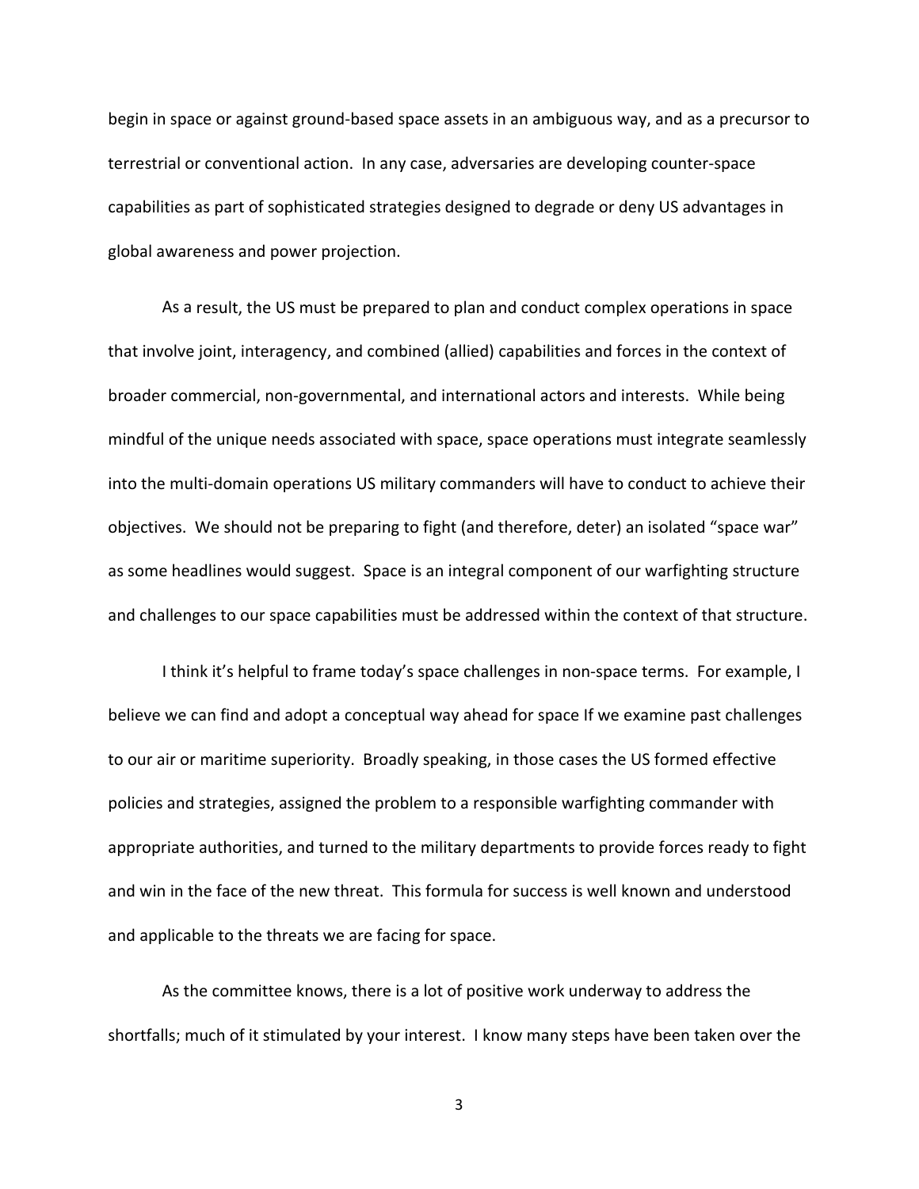begin in space or against ground‐based space assets in an ambiguous way, and as a precursor to terrestrial or conventional action. In any case, adversaries are developing counter‐space capabilities as part of sophisticated strategies designed to degrade or deny US advantages in global awareness and power projection.

As a result, the US must be prepared to plan and conduct complex operations in space that involve joint, interagency, and combined (allied) capabilities and forces in the context of broader commercial, non‐governmental, and international actors and interests. While being mindful of the unique needs associated with space, space operations must integrate seamlessly into the multi‐domain operations US military commanders will have to conduct to achieve their objectives. We should not be preparing to fight (and therefore, deter) an isolated "space war" as some headlines would suggest. Space is an integral component of our warfighting structure and challenges to our space capabilities must be addressed within the context of that structure.

I think it's helpful to frame today's space challenges in non‐space terms. For example, I believe we can find and adopt a conceptual way ahead for space If we examine past challenges to our air or maritime superiority. Broadly speaking, in those cases the US formed effective policies and strategies, assigned the problem to a responsible warfighting commander with appropriate authorities, and turned to the military departments to provide forces ready to fight and win in the face of the new threat. This formula for success is well known and understood and applicable to the threats we are facing for space.

As the committee knows, there is a lot of positive work underway to address the shortfalls; much of it stimulated by your interest. I know many steps have been taken over the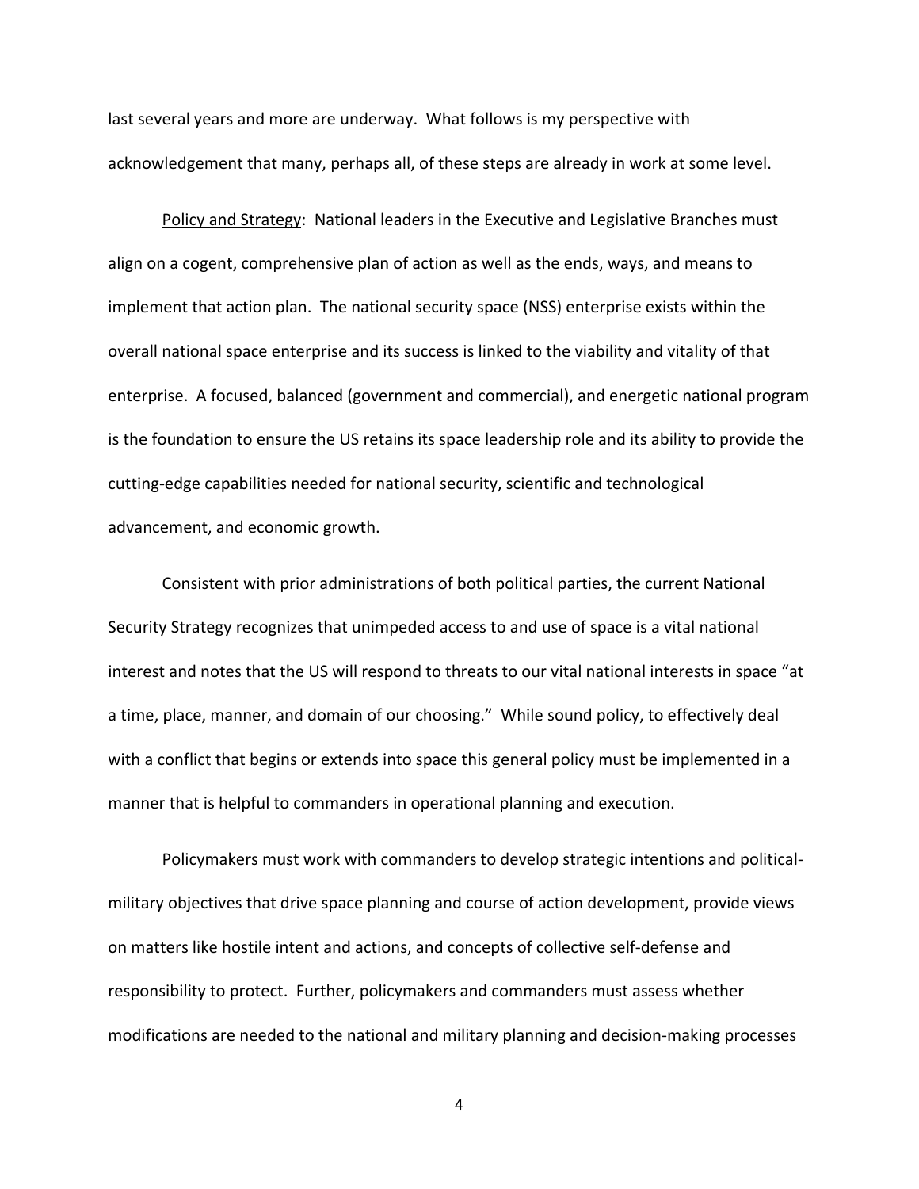last several years and more are underway. What follows is my perspective with acknowledgement that many, perhaps all, of these steps are already in work at some level.

Policy and Strategy: National leaders in the Executive and Legislative Branches must align on a cogent, comprehensive plan of action as well as the ends, ways, and means to implement that action plan. The national security space (NSS) enterprise exists within the overall national space enterprise and its success is linked to the viability and vitality of that enterprise. A focused, balanced (government and commercial), and energetic national program is the foundation to ensure the US retains its space leadership role and its ability to provide the cutting‐edge capabilities needed for national security, scientific and technological advancement, and economic growth.

Consistent with prior administrations of both political parties, the current National Security Strategy recognizes that unimpeded access to and use of space is a vital national interest and notes that the US will respond to threats to our vital national interests in space "at a time, place, manner, and domain of our choosing." While sound policy, to effectively deal with a conflict that begins or extends into space this general policy must be implemented in a manner that is helpful to commanders in operational planning and execution.

Policymakers must work with commanders to develop strategic intentions and political‐ military objectives that drive space planning and course of action development, provide views on matters like hostile intent and actions, and concepts of collective self‐defense and responsibility to protect. Further, policymakers and commanders must assess whether modifications are needed to the national and military planning and decision‐making processes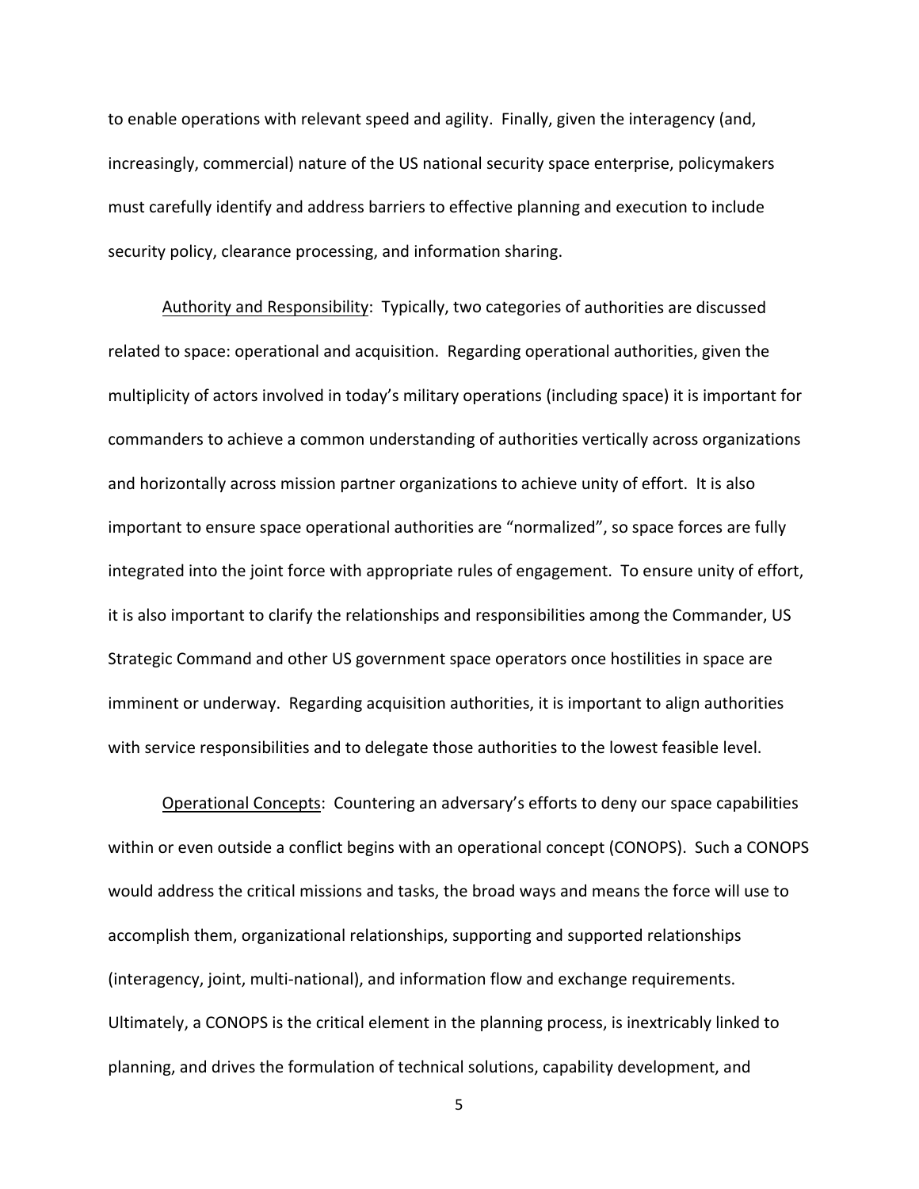to enable operations with relevant speed and agility. Finally, given the interagency (and, increasingly, commercial) nature of the US national security space enterprise, policymakers must carefully identify and address barriers to effective planning and execution to include security policy, clearance processing, and information sharing.

Authority and Responsibility: Typically, two categories of authorities are discussed related to space: operational and acquisition. Regarding operational authorities, given the multiplicity of actors involved in today's military operations (including space) it is important for commanders to achieve a common understanding of authorities vertically across organizations and horizontally across mission partner organizations to achieve unity of effort. It is also important to ensure space operational authorities are "normalized", so space forces are fully integrated into the joint force with appropriate rules of engagement. To ensure unity of effort, it is also important to clarify the relationships and responsibilities among the Commander, US Strategic Command and other US government space operators once hostilities in space are imminent or underway. Regarding acquisition authorities, it is important to align authorities with service responsibilities and to delegate those authorities to the lowest feasible level.

Operational Concepts: Countering an adversary's efforts to deny our space capabilities within or even outside a conflict begins with an operational concept (CONOPS). Such a CONOPS would address the critical missions and tasks, the broad ways and means the force will use to accomplish them, organizational relationships, supporting and supported relationships (interagency, joint, multi‐national), and information flow and exchange requirements. Ultimately, a CONOPS is the critical element in the planning process, is inextricably linked to planning, and drives the formulation of technical solutions, capability development, and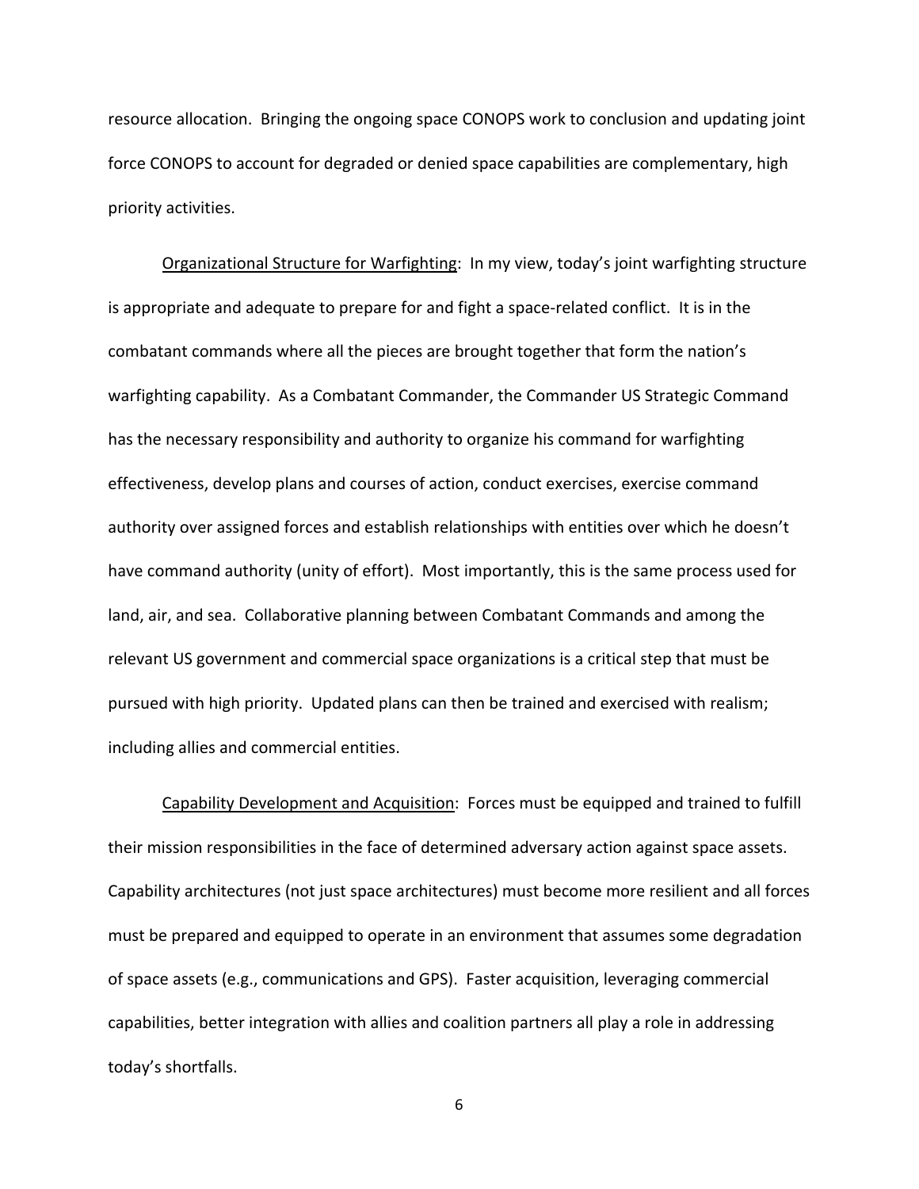resource allocation. Bringing the ongoing space CONOPS work to conclusion and updating joint force CONOPS to account for degraded or denied space capabilities are complementary, high priority activities.

Organizational Structure for Warfighting: In my view, today's joint warfighting structure is appropriate and adequate to prepare for and fight a space‐related conflict. It is in the combatant commands where all the pieces are brought together that form the nation's warfighting capability. As a Combatant Commander, the Commander US Strategic Command has the necessary responsibility and authority to organize his command for warfighting effectiveness, develop plans and courses of action, conduct exercises, exercise command authority over assigned forces and establish relationships with entities over which he doesn't have command authority (unity of effort). Most importantly, this is the same process used for land, air, and sea. Collaborative planning between Combatant Commands and among the relevant US government and commercial space organizations is a critical step that must be pursued with high priority. Updated plans can then be trained and exercised with realism; including allies and commercial entities.

Capability Development and Acquisition: Forces must be equipped and trained to fulfill their mission responsibilities in the face of determined adversary action against space assets. Capability architectures (not just space architectures) must become more resilient and all forces must be prepared and equipped to operate in an environment that assumes some degradation of space assets (e.g., communications and GPS). Faster acquisition, leveraging commercial capabilities, better integration with allies and coalition partners all play a role in addressing today's shortfalls.